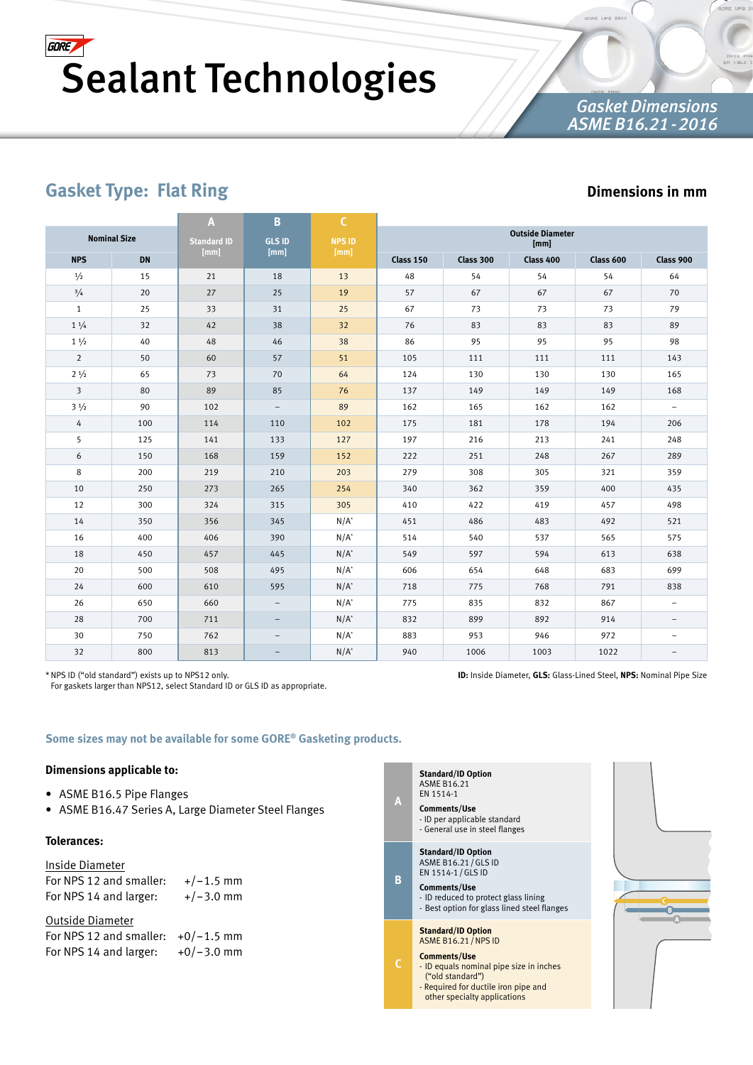## *Gasket Dimensions ASME B16.21-2016*

# **Gasket Type: Flat Ring**

## **Dimensions in mm**

|                 |                     | A                  | B                        | $\mathsf{C}$          |                                 |           |           |           |                          |  |  |
|-----------------|---------------------|--------------------|--------------------------|-----------------------|---------------------------------|-----------|-----------|-----------|--------------------------|--|--|
|                 | <b>Nominal Size</b> | <b>Standard ID</b> | <b>GLS ID</b>            | <b>NPS ID</b><br>[mm] | <b>Outside Diameter</b><br>[mm] |           |           |           |                          |  |  |
| <b>NPS</b>      | <b>DN</b>           | [mm]               | [mm]                     |                       | Class 150                       | Class 300 | Class 400 | Class 600 | Class 900                |  |  |
| $\frac{1}{2}$   | 15                  | 21                 | 18                       | 13                    | 48                              | 54        | 54        | 54        | 64                       |  |  |
| $^{3}/_{4}$     | 20                  | 27                 | 25                       | 19                    | 57                              | 67        | 67        | 67        | 70                       |  |  |
| $\mathbf{1}$    | 25                  | 33                 | 31                       | 25                    | 67                              | 73        | 73        | 73        | 79                       |  |  |
| $1 \frac{1}{4}$ | 32                  | 42                 | 38                       | 32                    | 76                              | 83        | 83        | 83        | 89                       |  |  |
| $1\frac{1}{2}$  | 40                  | 48                 | 46                       | 38                    | 86                              | 95        | 95        | 95        | 98                       |  |  |
| $\overline{2}$  | 50                  | 60                 | 57                       | 51                    | 105                             | 111       | 111       | 111       | 143                      |  |  |
| $2\frac{1}{2}$  | 65                  | 73                 | 70                       | 64                    | 124                             | 130       | 130       | 130       | 165                      |  |  |
| $\overline{3}$  | 80                  | 89                 | 85                       | 76                    | 137                             | 149       | 149       | 149       | 168                      |  |  |
| $3\frac{1}{2}$  | 90                  | 102                | $\overline{\phantom{0}}$ | 89                    | 162                             | 165       | 162       | 162       | $\equiv$                 |  |  |
| 4               | 100                 | 114                | 110                      | 102                   | 175                             | 181       | 178       | 194       | 206                      |  |  |
| 5               | 125                 | 141                | 133                      | 127                   | 197                             | 216       | 213       | 241       | 248                      |  |  |
| 6               | 150                 | 168                | 159                      | 152                   | 222                             | 251       | 248       | 267       | 289                      |  |  |
| 8               | 200                 | 219                | 210                      | 203                   | 279                             | 308       | 305       | 321       | 359                      |  |  |
| 10              | 250                 | 273                | 265                      | 254                   | 340                             | 362       | 359       | 400       | 435                      |  |  |
| 12              | 300                 | 324                | 315                      | 305                   | 410                             | 422       | 419       | 457       | 498                      |  |  |
| 14              | 350                 | 356                | 345                      | $N/A^*$               | 451                             | 486       | 483       | 492       | 521                      |  |  |
| 16              | 400                 | 406                | 390                      | $N/A^*$               | 514                             | 540       | 537       | 565       | 575                      |  |  |
| 18              | 450                 | 457                | 445                      | $N/A^*$               | 549                             | 597       | 594       | 613       | 638                      |  |  |
| 20              | 500                 | 508                | 495                      | $N/A^*$               | 606                             | 654       | 648       | 683       | 699                      |  |  |
| 24              | 600                 | 610                | 595                      | $N/A^*$               | 718                             | 775       | 768       | 791       | 838                      |  |  |
| 26              | 650                 | 660                | $\qquad \qquad -$        | $N/A^*$               | 775                             | 835       | 832       | 867       | $\overline{\phantom{0}}$ |  |  |
| 28              | 700                 | 711                | -                        | $N/A^*$               | 832                             | 899       | 892       | 914       |                          |  |  |
| 30              | 750                 | 762                |                          | $N/A^*$               | 883                             | 953       | 946       | 972       | $\overline{\phantom{0}}$ |  |  |
| 32              | 800                 | 813                | $\qquad \qquad -$        | $N/A^*$               | 940                             | 1006      | 1003      | 1022      |                          |  |  |

\*NPS ID ("old standard") exists up to NPS12 only.

For gaskets larger than NPS12, select Standard ID or GLS ID as appropriate.

**ID:** Inside Diameter, **GLS:** Glass-Lined Steel, **NPS:** Nominal Pipe Size

**Some sizes may not be available for some GORE® Gasketing products.**

### **Dimensions applicable to:**

- ASME B16.5 Pipe Flanges
- ASME B16.47 Series A, Large Diameter Steel Flanges

## **Tolerances:**

| Inside Diameter         |             |
|-------------------------|-------------|
| For NPS 12 and smaller: | $+/-1.5$ mm |
| For NPS 14 and larger:  | $+/-3.0$ mm |

| Outside Diameter                     |              |
|--------------------------------------|--------------|
| For NPS 12 and smaller: $+0/-1.5$ mm |              |
| For NPS 14 and larger:               | $+0/-3.0$ mm |

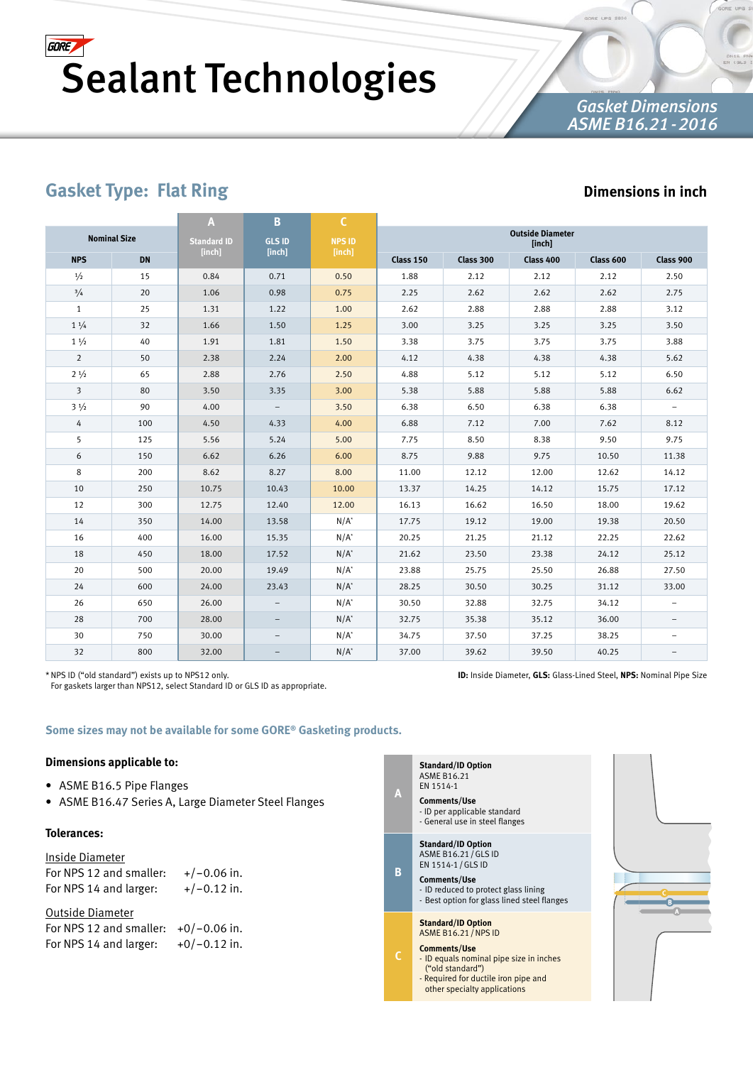## *Gasket Dimensions ASME B16.21-2016*

# **Gasket Type: Flat Ring**

## **Dimensions in inch**

|                         |           | A                  | в                 | $\mathsf{C}$  |                                   |           |           |           |                          |  |  |
|-------------------------|-----------|--------------------|-------------------|---------------|-----------------------------------|-----------|-----------|-----------|--------------------------|--|--|
| <b>Nominal Size</b>     |           | <b>Standard ID</b> | <b>GLS ID</b>     | <b>NPS ID</b> | <b>Outside Diameter</b><br>[inch] |           |           |           |                          |  |  |
| <b>NPS</b>              | <b>DN</b> | [inch]             | [inch]            | [inch]        | Class 150                         | Class 300 | Class 400 | Class 600 | Class 900                |  |  |
| $\frac{1}{2}$           | 15        | 0.84               | 0.71              | 0.50          | 1.88                              | 2.12      | 2.12      | 2.12      | 2.50                     |  |  |
| $^{3}/_{4}$             | 20        | 1.06               | 0.98              | 0.75          | 2.25                              | 2.62      | 2.62      | 2.62      | 2.75                     |  |  |
| $\mathbf{1}$            | 25        | 1.31               | 1.22              | 1.00          | 2.62                              | 2.88      | 2.88      | 2.88      | 3.12                     |  |  |
| $1 \frac{1}{4}$         | 32        | 1.66               | 1.50              | 1.25          | 3.00                              | 3.25      | 3.25      | 3.25      | 3.50                     |  |  |
| $1\frac{1}{2}$          | 40        | 1.91               | 1.81              | 1.50          | 3.38                              | 3.75      | 3.75      | 3.75      | 3.88                     |  |  |
| $\overline{2}$          | 50        | 2.38               | 2.24              | 2.00          | 4.12                              | 4.38      | 4.38      | 4.38      | 5.62                     |  |  |
| $2 \frac{1}{2}$         | 65        | 2.88               | 2.76              | 2.50          | 4.88                              | 5.12      | 5.12      | 5.12      | 6.50                     |  |  |
| $\overline{\mathbf{3}}$ | 80        | 3.50               | 3.35              | 3.00          | 5.38                              | 5.88      | 5.88      | 5.88      | 6.62                     |  |  |
| $3\frac{1}{2}$          | 90        | 4.00               | $\qquad \qquad -$ | 3.50          | 6.38                              | 6.50      | 6.38      | 6.38      |                          |  |  |
| 4                       | 100       | 4.50               | 4.33              | 4.00          | 6.88                              | 7.12      | 7.00      | 7.62      | 8.12                     |  |  |
| 5                       | 125       | 5.56               | 5.24              | 5.00          | 7.75                              | 8.50      | 8.38      | 9.50      | 9.75                     |  |  |
| 6                       | 150       | 6.62               | 6.26              | 6.00          | 8.75                              | 9.88      | 9.75      | 10.50     | 11.38                    |  |  |
| 8                       | 200       | 8.62               | 8.27              | 8.00          | 11.00                             | 12.12     | 12.00     | 12.62     | 14.12                    |  |  |
| 10                      | 250       | 10.75              | 10.43             | 10.00         | 13.37                             | 14.25     | 14.12     | 15.75     | 17.12                    |  |  |
| 12                      | 300       | 12.75              | 12.40             | 12.00         | 16.13                             | 16.62     | 16.50     | 18.00     | 19.62                    |  |  |
| 14                      | 350       | 14.00              | 13.58             | $N/A^*$       | 17.75                             | 19.12     | 19.00     | 19.38     | 20.50                    |  |  |
| 16                      | 400       | 16.00              | 15.35             | $N/A^*$       | 20.25                             | 21.25     | 21.12     | 22.25     | 22.62                    |  |  |
| 18                      | 450       | 18.00              | 17.52             | $N/A^*$       | 21.62                             | 23.50     | 23.38     | 24.12     | 25.12                    |  |  |
| 20                      | 500       | 20.00              | 19.49             | $N/A^*$       | 23.88                             | 25.75     | 25.50     | 26.88     | 27.50                    |  |  |
| 24                      | 600       | 24.00              | 23.43             | $N/A^*$       | 28.25                             | 30.50     | 30.25     | 31.12     | 33.00                    |  |  |
| 26                      | 650       | 26.00              |                   | $N/A^*$       | 30.50                             | 32.88     | 32.75     | 34.12     | $\overline{\phantom{0}}$ |  |  |
| 28                      | 700       | 28.00              | -                 | $N/A^*$       | 32.75                             | 35.38     | 35.12     | 36.00     | $\overline{\phantom{0}}$ |  |  |
| 30                      | 750       | 30.00              |                   | $N/A^*$       | 34.75                             | 37.50     | 37.25     | 38.25     |                          |  |  |
| 32                      | 800       | 32.00              |                   | $N/A^*$       | 37.00                             | 39.62     | 39.50     | 40.25     |                          |  |  |

\*NPS ID ("old standard") exists up to NPS12 only.

For gaskets larger than NPS12, select Standard ID or GLS ID as appropriate.

**ID:** Inside Diameter, **GLS:** Glass-Lined Steel, **NPS:** Nominal Pipe Size

**Some sizes may not be available for some GORE® Gasketing products.**

#### **Dimensions applicable to:**

- ASME B16.5 Pipe Flanges
- ASME B16.47 Series A, Large Diameter Steel Flanges

#### **Tolerances:**

### Inside Diameter

For NPS 12 and smaller:  $+/-0.06$  in. For NPS 14 and larger:  $+/-0.12$  in.

| Outside Diameter                       |                |
|----------------------------------------|----------------|
| For NPS 12 and smaller: $+0/-0.06$ in. |                |
| For NPS 14 and larger:                 | $+0/-0.12$ in. |



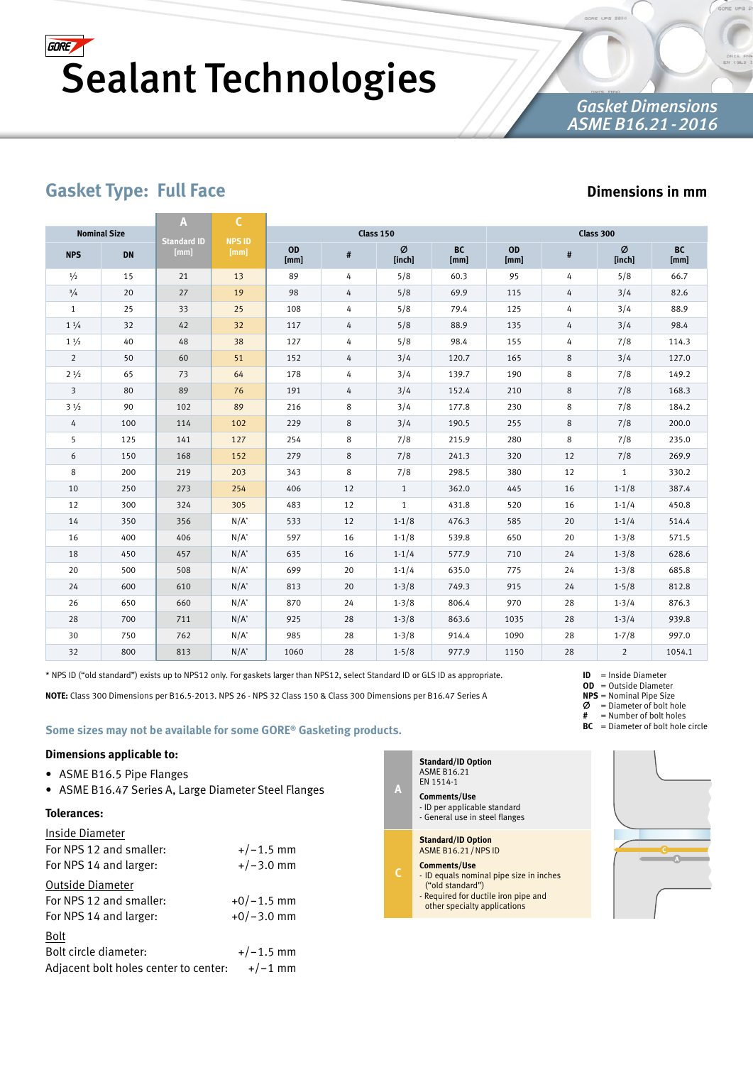## *Gasket Dimensions ASME B16.21-2016*

# **Gasket Type: Full Face**

## **Dimensions in mm**

|                     |           | A                          | C                     |                   |    |              |                   |                   |    |                |                   |
|---------------------|-----------|----------------------------|-----------------------|-------------------|----|--------------|-------------------|-------------------|----|----------------|-------------------|
| <b>Nominal Size</b> |           |                            |                       |                   |    | Class 150    |                   | Class 300         |    |                |                   |
| <b>NPS</b>          | <b>DN</b> | <b>Standard ID</b><br>[mm] | <b>NPS ID</b><br>[mm] | <b>OD</b><br>[mm] | #  | Ø<br>[inch]  | <b>BC</b><br>[mm] | <b>OD</b><br>[mm] | #  | Ø<br>[inch]    | <b>BC</b><br>[mm] |
| $\frac{1}{2}$       | 15        | 21                         | 13                    | 89                | 4  | 5/8          | 60.3              | 95                | 4  | 5/8            | 66.7              |
| 3/4                 | 20        | 27                         | 19                    | 98                | 4  | 5/8          | 69.9              | 115               | 4  | 3/4            | 82.6              |
| $\mathbf{1}$        | 25        | 33                         | 25                    | 108               | 4  | 5/8          | 79.4              | 125               | 4  | 3/4            | 88.9              |
| $1 \frac{1}{4}$     | 32        | 42                         | 32                    | 117               | 4  | 5/8          | 88.9              | 135               | 4  | 3/4            | 98.4              |
| $1\frac{1}{2}$      | 40        | 48                         | 38                    | 127               | 4  | 5/8          | 98.4              | 155               | 4  | 7/8            | 114.3             |
| $\overline{2}$      | 50        | 60                         | 51                    | 152               | 4  | 3/4          | 120.7             | 165               | 8  | 3/4            | 127.0             |
| $2\frac{1}{2}$      | 65        | 73                         | 64                    | 178               | 4  | 3/4          | 139.7             | 190               | 8  | 7/8            | 149.2             |
| 3                   | 80        | 89                         | 76                    | 191               | 4  | 3/4          | 152.4             | 210               | 8  | 7/8            | 168.3             |
| $3\frac{1}{2}$      | 90        | 102                        | 89                    | 216               | 8  | 3/4          | 177.8             | 230               | 8  | 7/8            | 184.2             |
| 4                   | 100       | 114                        | 102                   | 229               | 8  | 3/4          | 190.5             | 255               | 8  | 7/8            | 200.0             |
| 5                   | 125       | 141                        | 127                   | 254               | 8  | 7/8          | 215.9             | 280               | 8  | 7/8            | 235.0             |
| 6                   | 150       | 168                        | 152                   | 279               | 8  | 7/8          | 241.3             | 320               | 12 | 7/8            | 269.9             |
| 8                   | 200       | 219                        | 203                   | 343               | 8  | 7/8          | 298.5             | 380               | 12 | $\mathbf{1}$   | 330.2             |
| 10                  | 250       | 273                        | 254                   | 406               | 12 | $\mathbf{1}$ | 362.0             | 445               | 16 | $1 - 1/8$      | 387.4             |
| 12                  | 300       | 324                        | 305                   | 483               | 12 | 1            | 431.8             | 520               | 16 | $1 - 1/4$      | 450.8             |
| 14                  | 350       | 356                        | $N/A^*$               | 533               | 12 | $1 - 1/8$    | 476.3             | 585               | 20 | $1 - 1/4$      | 514.4             |
| 16                  | 400       | 406                        | $N/A^*$               | 597               | 16 | $1 - 1/8$    | 539.8             | 650               | 20 | $1 - 3/8$      | 571.5             |
| 18                  | 450       | 457                        | $N/A^*$               | 635               | 16 | $1 - 1/4$    | 577.9             | 710               | 24 | $1 - 3/8$      | 628.6             |
| 20                  | 500       | 508                        | $N/A^*$               | 699               | 20 | $1 - 1/4$    | 635.0             | 775               | 24 | $1 - 3/8$      | 685.8             |
| 24                  | 600       | 610                        | $N/A^*$               | 813               | 20 | $1 - 3/8$    | 749.3             | 915               | 24 | $1 - 5/8$      | 812.8             |
| 26                  | 650       | 660                        | $N/A^*$               | 870               | 24 | $1 - 3/8$    | 806.4             | 970               | 28 | $1 - 3/4$      | 876.3             |
| 28                  | 700       | 711                        | $N/A^*$               | 925               | 28 | $1 - 3/8$    | 863.6             | 1035              | 28 | $1 - 3/4$      | 939.8             |
| 30                  | 750       | 762                        | $N/A^*$               | 985               | 28 | $1 - 3/8$    | 914.4             | 1090              | 28 | $1 - 7/8$      | 997.0             |
| 32                  | 800       | 813                        | $N/A^*$               | 1060              | 28 | $1 - 5/8$    | 977.9             | 1150              | 28 | $\overline{2}$ | 1054.1            |

\* NPS ID ("old standard") exists up to NPS12 only. For gaskets larger than NPS12, select Standard ID or GLS ID as appropriate.

**NOTE:** Class 300 Dimensions per B16.5-2013. NPS 26 - NPS 32 Class 150 & Class 300 Dimensions per B16.47 Series A

**Some sizes may not be available for some GORE® Gasketing products.**

#### **Dimensions applicable to:**

- ASME B16.5 Pipe Flanges
- ASME B16.47 Series A, Large Diameter Steel Flanges

#### **Tolerances:**

| Inside Diameter                       |              |
|---------------------------------------|--------------|
| For NPS 12 and smaller:               | $+/-1.5$ mm  |
| For NPS 14 and larger:                | $+/-3.0$ mm  |
| Outside Diameter                      |              |
| For NPS 12 and smaller:               | $+0/-1.5$ mm |
| For NPS 14 and larger:                | $+0/-3.0$ mm |
| Bolt                                  |              |
| Bolt circle diameter:                 | $+/-1.5$ mm  |
| Adjacent bolt holes center to center: | $+/-1$ mm    |

**Standard/ID Option** ASME B16.21 EN 1514-1

**A**

**C**

**Comments/Use** - ID per applicable standard - General use in steel flanges

**Standard/ID Option** ASME B16.21/NPS ID

- **Comments/Use**
- ID equals nominal pipe size in inches ("old standard")
- Required for ductile iron pipe and other specialty applications



**ID** = Inside Diameter **OD** = Outside Diameter **NPS** = Nominal Pipe Size Ø = Diameter of bolt hole **#** = Number of bolt holes **BC** = Diameter of bolt hole circle